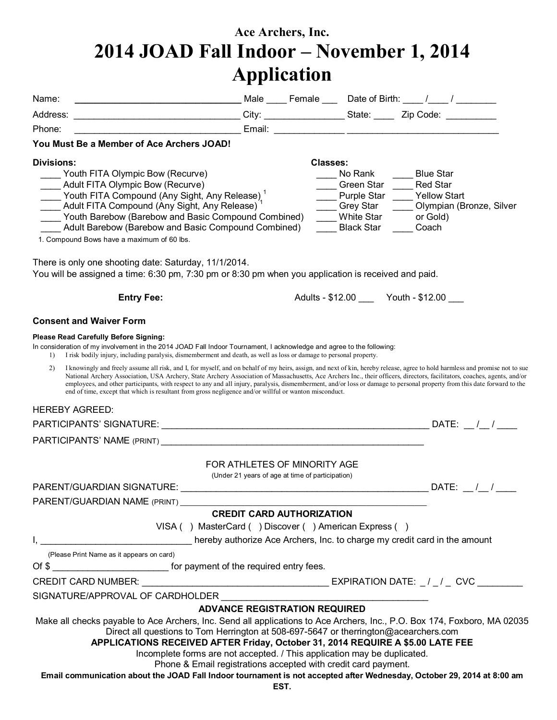# **Ace Archers, Inc. 2014 JOAD Fall Indoor – November 1, 2014 Application**

|                                                                                                                                                                                                                                                                                                                                                                                                                                  | Application                                                                                                                                        |                 |                                                         |                                                                                                                                                                                                                                                                                                                                                                                                                                                                                                                                        |
|----------------------------------------------------------------------------------------------------------------------------------------------------------------------------------------------------------------------------------------------------------------------------------------------------------------------------------------------------------------------------------------------------------------------------------|----------------------------------------------------------------------------------------------------------------------------------------------------|-----------------|---------------------------------------------------------|----------------------------------------------------------------------------------------------------------------------------------------------------------------------------------------------------------------------------------------------------------------------------------------------------------------------------------------------------------------------------------------------------------------------------------------------------------------------------------------------------------------------------------------|
| Name:                                                                                                                                                                                                                                                                                                                                                                                                                            |                                                                                                                                                    |                 |                                                         | ____________________________________Male _____ Female ____ Date of Birth: _____/_____/ _________                                                                                                                                                                                                                                                                                                                                                                                                                                       |
| _________________________________City: __________________State: _______Zip Code: ___________<br>Address:                                                                                                                                                                                                                                                                                                                         |                                                                                                                                                    |                 |                                                         |                                                                                                                                                                                                                                                                                                                                                                                                                                                                                                                                        |
| Phone:                                                                                                                                                                                                                                                                                                                                                                                                                           |                                                                                                                                                    |                 |                                                         |                                                                                                                                                                                                                                                                                                                                                                                                                                                                                                                                        |
| You Must Be a Member of Ace Archers JOAD!                                                                                                                                                                                                                                                                                                                                                                                        |                                                                                                                                                    |                 |                                                         |                                                                                                                                                                                                                                                                                                                                                                                                                                                                                                                                        |
| <b>Divisions:</b>                                                                                                                                                                                                                                                                                                                                                                                                                |                                                                                                                                                    | <b>Classes:</b> |                                                         |                                                                                                                                                                                                                                                                                                                                                                                                                                                                                                                                        |
| Youth FITA Olympic Bow (Recurve)<br>___ Adult FITA Olympic Bow (Recurve)<br>____ Youth FITA Compound (Any Sight, Any Release) <sup>1</sup><br>Adult FITA Compound (Any Sight, Any Release) <sup>1</sup><br>Youth Barebow (Barebow and Basic Compound Combined)<br>Adult Barebow (Barebow and Basic Compound Combined)<br>1. Compound Bows have a maximum of 60 lbs.                                                              |                                                                                                                                                    |                 | No Rank<br>Grey Star<br>White Star<br><b>Black Star</b> | <b>Blue Star</b><br>Green Star Red Star<br>Purple Star Yellow Start<br>Olympian (Bronze, Silver<br>or Gold)<br>Coach                                                                                                                                                                                                                                                                                                                                                                                                                   |
| There is only one shooting date: Saturday, 11/1/2014.<br>You will be assigned a time: 6:30 pm, 7:30 pm or 8:30 pm when you application is received and paid.                                                                                                                                                                                                                                                                     |                                                                                                                                                    |                 |                                                         |                                                                                                                                                                                                                                                                                                                                                                                                                                                                                                                                        |
| <b>Entry Fee:</b>                                                                                                                                                                                                                                                                                                                                                                                                                |                                                                                                                                                    |                 |                                                         | Adults - \$12.00 ______ Youth - \$12.00 ____                                                                                                                                                                                                                                                                                                                                                                                                                                                                                           |
| <b>Consent and Waiver Form</b>                                                                                                                                                                                                                                                                                                                                                                                                   |                                                                                                                                                    |                 |                                                         |                                                                                                                                                                                                                                                                                                                                                                                                                                                                                                                                        |
| <b>Please Read Carefully Before Signing:</b><br>In consideration of my involvement in the 2014 JOAD Fall Indoor Tournament, I acknowledge and agree to the following:<br>I risk bodily injury, including paralysis, dismemberment and death, as well as loss or damage to personal property.<br>$\left  \right $<br>2)<br>end of time, except that which is resultant from gross negligence and/or willful or wanton misconduct. |                                                                                                                                                    |                 |                                                         | I knowingly and freely assume all risk, and I, for myself, and on behalf of my heirs, assign, and next of kin, hereby release, agree to hold harmless and promise not to sue<br>National Archery Association, USA Archery, State Archery Association of Massachusetts, Ace Archers Inc., their officers, directors, facilitators, coaches, agents, and/or<br>employees, and other participants, with respect to any and all injury, paralysis, dismemberment, and/or loss or damage to personal property from this date forward to the |
| <b>HEREBY AGREED:</b>                                                                                                                                                                                                                                                                                                                                                                                                            |                                                                                                                                                    |                 |                                                         |                                                                                                                                                                                                                                                                                                                                                                                                                                                                                                                                        |
|                                                                                                                                                                                                                                                                                                                                                                                                                                  |                                                                                                                                                    |                 |                                                         |                                                                                                                                                                                                                                                                                                                                                                                                                                                                                                                                        |
|                                                                                                                                                                                                                                                                                                                                                                                                                                  |                                                                                                                                                    |                 |                                                         |                                                                                                                                                                                                                                                                                                                                                                                                                                                                                                                                        |
|                                                                                                                                                                                                                                                                                                                                                                                                                                  | FOR ATHLETES OF MINORITY AGE<br>(Under 21 years of age at time of participation)                                                                   |                 |                                                         |                                                                                                                                                                                                                                                                                                                                                                                                                                                                                                                                        |
|                                                                                                                                                                                                                                                                                                                                                                                                                                  |                                                                                                                                                    |                 |                                                         |                                                                                                                                                                                                                                                                                                                                                                                                                                                                                                                                        |
| PARENT/GUARDIAN NAME (PRINT)                                                                                                                                                                                                                                                                                                                                                                                                     | <b>CREDIT CARD AUTHORIZATION</b>                                                                                                                   |                 |                                                         |                                                                                                                                                                                                                                                                                                                                                                                                                                                                                                                                        |
|                                                                                                                                                                                                                                                                                                                                                                                                                                  | VISA () MasterCard () Discover () American Express ()                                                                                              |                 |                                                         |                                                                                                                                                                                                                                                                                                                                                                                                                                                                                                                                        |
| I, ___________________________________hereby authorize Ace Archers, Inc. to charge my credit card in the amount                                                                                                                                                                                                                                                                                                                  |                                                                                                                                                    |                 |                                                         |                                                                                                                                                                                                                                                                                                                                                                                                                                                                                                                                        |
| (Please Print Name as it appears on card)                                                                                                                                                                                                                                                                                                                                                                                        |                                                                                                                                                    |                 |                                                         |                                                                                                                                                                                                                                                                                                                                                                                                                                                                                                                                        |
| Of \$                                                                                                                                                                                                                                                                                                                                                                                                                            |                                                                                                                                                    |                 |                                                         |                                                                                                                                                                                                                                                                                                                                                                                                                                                                                                                                        |
|                                                                                                                                                                                                                                                                                                                                                                                                                                  |                                                                                                                                                    |                 |                                                         |                                                                                                                                                                                                                                                                                                                                                                                                                                                                                                                                        |
| SIGNATURE/APPROVAL OF CARDHOLDER                                                                                                                                                                                                                                                                                                                                                                                                 |                                                                                                                                                    |                 |                                                         |                                                                                                                                                                                                                                                                                                                                                                                                                                                                                                                                        |
|                                                                                                                                                                                                                                                                                                                                                                                                                                  | <b>ADVANCE REGISTRATION REQUIRED</b>                                                                                                               |                 |                                                         |                                                                                                                                                                                                                                                                                                                                                                                                                                                                                                                                        |
| Make all checks payable to Ace Archers, Inc. Send all applications to Ace Archers, Inc., P.O. Box 174, Foxboro, MA 02035<br>Direct all questions to Tom Herrington at 508-697-5647 or therrington@acearchers.com<br>APPLICATIONS RECEIVED AFTER Friday, October 31, 2014 REQUIRE A \$5.00 LATE FEE<br>Email communication about the JOAD Fall Indoor tournament is not accepted after Wednesday, October 29, 2014 at 8:00 am     | Incomplete forms are not accepted. / This application may be duplicated.<br>Phone & Email registrations accepted with credit card payment.<br>EST. |                 |                                                         |                                                                                                                                                                                                                                                                                                                                                                                                                                                                                                                                        |